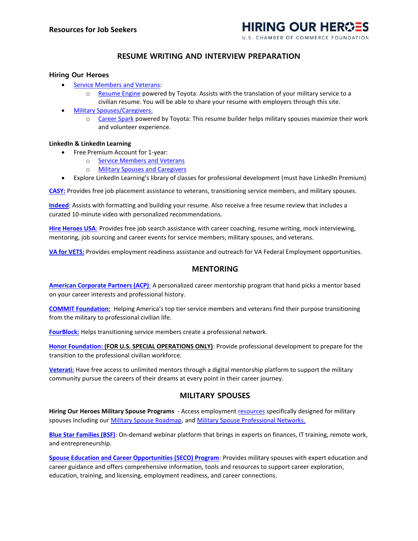

# **RESUME WRITING AND INTERVIEW PREPARATION**

## **Hiring Our Heroes**

- [Service Members and Veterans:](https://www.hiringourheroes.org/service-members/?utm_source=Career%20Connector%20PDF&utm_medium=Referral&utm_campaign=Hiring%20Our%20Heroes)
	- o [Resume Engine](http://www.resumeengine.org/?utm_source=Career%20Connector%20PDF&utm_medium=Referral&utm_campaign=Hiring%20Our%20Heroes) powered by Toyota: Assists with the translation of your military service to a civilian resume. You will be able to share your resume with employers through this site.
- [Military Spouses/Caregivers:](https://www.hiringourheroes.org/military-spouses/?utm_source=Career%20Connector%20PDF&utm_medium=Referral&utm_campaign=Hiring%20Our%20Heroes)
	- o [Career Spark](https://mycareerspark.com/?utm_source=Career%20Connector%20PDF&utm_medium=Referral&utm_campaign=Hiring%20Our%20Heroes) powered by Toyota: This resume builder helps military spouses maximize their work and volunteer experience.

#### **LinkedIn & LinkedIn Learning**

- Free Premium Account for 1-year:
	- o [Service Members and Veterans](https://socialimpact.linkedin.com/programs/veterans?utm_source=Career%20Connector%20PDF&utm_medium=Referral&utm_campaign=Hiring%20Our%20Heroes)
	- o [Military Spouses and Caregivers](https://socialimpact.linkedin.com/programs/veterans?utm_source=Career%20Connector%20PDF&utm_medium=Referral&utm_campaign=Hiring%20Our%20Heroes)
- Explore LinkedIn Learning's library of classes for professional development (must have LinkedIn Premium)

**[CASY:](https://bit.ly/394ts2J)** Provides free job placement assistance to veterans, transitioning service members, and military spouses.

**[Indeed](https://www.indeed.com/career-advice/military)**: Assists with formatting and building your resume. Also receive a free resume review that includes a curated 10-minute video with personalized recommendations.

**[Hire Heroes USA](https://bit.ly/3bY4rIn)**: Provides free job search assistance with career coaching, resume writing, mock interviewing, mentoring, job sourcing and career events for service members, military spouses, and veterans.

**[VA for VETS:](http://bit.ly/3p5O4NA)** Provides employment readiness assistance and outreach for VA Federal Employment opportunities.

## **MENTORING**

**[American Corporate Partners \(ACP\)](https://bit.ly/3iyafti)**: A personalized career mentorship program that hand picks a mentor based on your career interests and professional history.

**[COMMIT Foundation:](https://bit.ly/3p6gQh7)** Helping America's top tier service members and veterans find their purpose transitioning from the military to professional civilian life.

**[FourBlock:](https://bit.ly/3o43OiR)** Helps transitioning service members create a professional network.

**[Honor Foundation:](https://bit.ly/3c3KorV) (FOR U.S. SPECIAL OPERATIONS ONLY)**: Provide professional development to prepare for the transition to the professional civilian workforce.

**[Veterati:](https://bit.ly/2NpMp7D)** Have free access to unlimited mentors through a digital mentorship platform to support the military community pursue the careers of their dreams at every point in their career journey.

## **MILITARY SPOUSES**

**Hiring Our Heroes Military Spouse Programs** - Access employment [resources](https://www.hiringourheroes.org/career-services/military-spouse-resources/) specifically designed for military spouses including our **Military Spouse Roadmap**, and **Military Spouse Professional Networks**.

**[Blue Star Families \(BSF\)](https://bit.ly/360TPVr)**: On-demand webinar platform that brings in experts on finances, IT training, remote work, and entrepreneurship.

**[Spouse Education and Career Opportunities \(SECO\) Program](https://bit.ly/3p7lETd)**: Provides military spouses with expert education and career guidance and offers comprehensive information, tools and resources to support career exploration, education, training, and licensing, employment readiness, and career connections.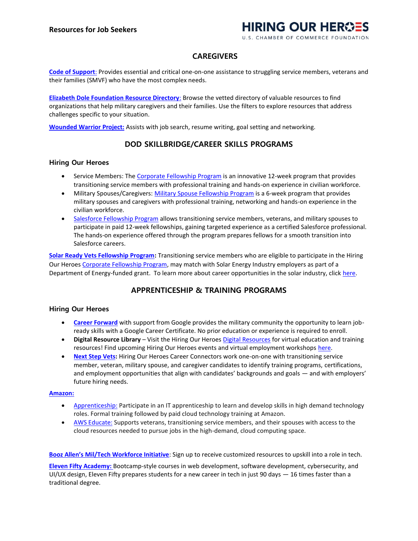# HIRING OUR HEROES

**U.S. CHAMBER OF COMMERCE FOUNDATION** 

# **CAREGIVERS**

**[Code of Support](https://bit.ly/3qJcsVs)**: Provides essential and critical one-on-one assistance to struggling service members, veterans and their families (SMVF) who have the most complex needs.

**[Elizabeth Dole Foundation Resource Directory](https://bit.ly/392A2Xm)**: Browse the vetted directory of valuable resources to find organizations that help military caregivers and their families. Use the filters to explore resources that address challenges specific to your situation.

**[Wounded Warrior Project:](https://bit.ly/360AoM9)** Assists with job search, resume writing, goal setting and networking.

## **DOD SKILLBRIDGE/CAREER SKILLS PROGRAMS**

### **Hiring Our Heroes**

- Service Members: The [Corporate Fellowship Program](https://bit.ly/2M8Q1u0) is an innovative 12-week program that provides transitioning service members with professional training and hands-on experience in civilian workforce.
- Military Spouses/Caregivers: [Military Spouse Fellowship Program](https://bit.ly/3o4SqDk) is a 6-week program that provides military spouses and caregivers with professional training, networking and hands-on experience in the civilian workforce.
- [Salesforce Fellowship Program](https://bit.ly/3bY5wzV) allows transitioning service members, veterans, and military spouses to participate in paid 12-week fellowships, gaining targeted experience as a certified Salesforce professional. The hands-on experience offered through the program prepares fellows for a smooth transition into Salesforce careers.

**[Solar Ready Vets Fellowship Program:](https://bit.ly/3o8UJoS)** Transitioning service members who are eligible to participate in the Hiring Our Heroe[s Corporate Fellowship Program,](https://bit.ly/2M8Q1u0) may match with Solar Energy Industry employers as part of a Department of Energy-funded grant. To learn more about career opportunities in the solar industry, click [here.](https://www.energy.gov/eere/solar/solar-ready-vets-network)

# **APPRENTICESHIP & TRAINING PROGRAMS**

#### **Hiring Our Heroes**

- **[Career Forward](https://bit.ly/CC3oFBA)** with support from Google provides the military community the opportunity to learn jobready skills with a Google Career Certificate. No prior education or experience is required to enroll.
- **Digital Resource Library** Visit the Hiring Our Heroes [Digital Resources](https://www.hiringourheroes.org/resources/) for virtual education and training resources! Find upcoming Hiring Our Heroes events and virtual employment workshops [here.](https://events.hiringourheroes.org/c/calendar/a7a5b351-8807-4343-8561-c757c022600f)
- **[Next Step Vets:](https://www.hiringourheroes.org/career-services/education-networking/next-step-vets-tech/)** Hiring Our Heroes Career Connectors work one-on-one with transitioning service member, veteran, military spouse, and caregiver candidates to identify training programs, certifications, and employment opportunities that align with candidates' backgrounds and goals — and with employers' future hiring needs.

### **[Amazon:](https://bit.ly/2Y41iOM)**

- [Apprenticeship:](https://bit.ly/3c0CkYP) Participate in an IT apprenticeship to learn and develop skills in high demand technology roles. Formal training followed by paid cloud technology training at Amazon.
- [AWS Educate:](https://amzn.to/3nYwZDW) Supports veterans, transitioning service members, and their spouses with access to the cloud resources needed to pursue jobs in the high-demand, cloud computing space.

**[Booz Allen's Mil/Tech Workforce Initiative](https://www.boozallen.com/e/insight/blog/path-to-technical-success.html)**: Sign up to receive customized resources to upskill into a role in tech.

**[Eleven Fifty Academy:](https://bit.ly/3qLWiuR)** Bootcamp-style courses in web development, software development, cybersecurity, and UI/UX design, Eleven Fifty prepares students for a new career in tech in just 90 days — 16 times faster than a traditional degree.